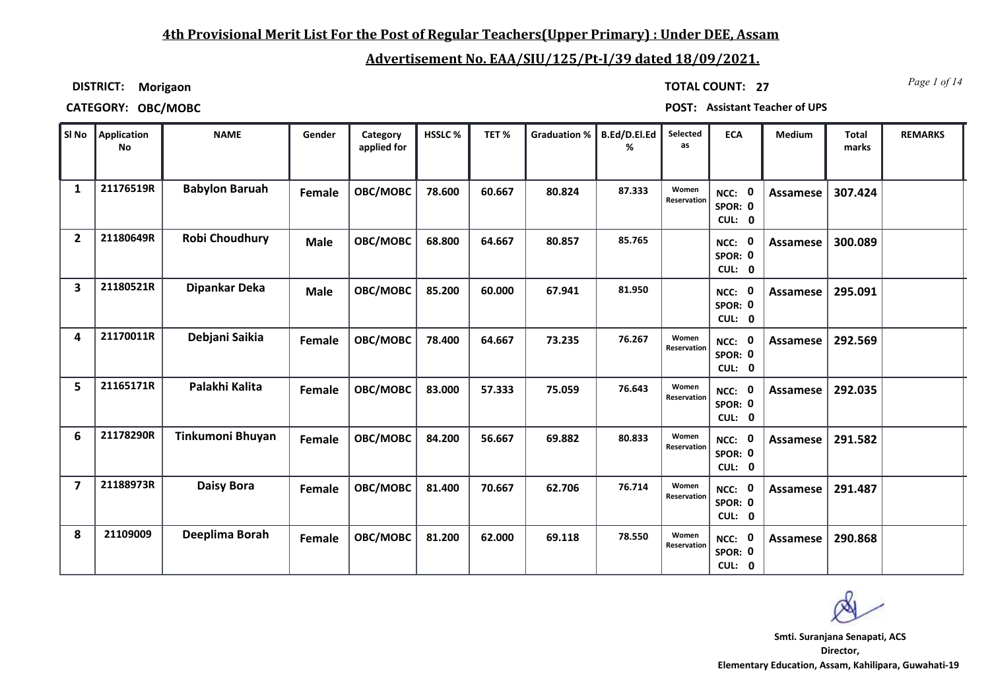## **4th Provisional Merit List For the Post of Regular Teachers(Upper Primary) : Under DEE, Assam**

# **Advertisement No. EAA/SIU/125/Pt-I/39 dated 18/09/2021.**

**DISTRICT: Morigaon**

*Page 1 of 14* **TOTAL COUNT: 27**

**CATEGORY: OBC/MOBC POST: Assistant Teacher of UPS**

| SI No          | Application<br><b>No</b> | <b>NAME</b>           | Gender        | Category<br>applied for | HSSLC% | TET%   | <b>Graduation %</b> | B.Ed/D.El.Ed<br>% | Selected<br>as       | <b>ECA</b>                     | Medium          | <b>Total</b><br>marks | <b>REMARKS</b> |
|----------------|--------------------------|-----------------------|---------------|-------------------------|--------|--------|---------------------|-------------------|----------------------|--------------------------------|-----------------|-----------------------|----------------|
| 1              | 21176519R                | <b>Babylon Baruah</b> | Female        | OBC/MOBC                | 78.600 | 60.667 | 80.824              | 87.333            | Women<br>Reservation | 0<br>NCC:<br>SPOR: 0<br>CUL: 0 | Assamese        | 307.424               |                |
| $\overline{2}$ | 21180649R                | <b>Robi Choudhury</b> | <b>Male</b>   | OBC/MOBC                | 68.800 | 64.667 | 80.857              | 85.765            |                      | NCC: 0<br>SPOR: 0<br>CUL: 0    | <b>Assamese</b> | 300.089               |                |
| 3              | 21180521R                | Dipankar Deka         | <b>Male</b>   | OBC/MOBC                | 85.200 | 60.000 | 67.941              | 81.950            |                      | NCC: 0<br>SPOR: 0<br>CUL: 0    | Assamese        | 295.091               |                |
| 4              | 21170011R                | Debjani Saikia        | Female        | OBC/MOBC                | 78.400 | 64.667 | 73.235              | 76.267            | Women<br>Reservation | NCC: 0<br>SPOR: 0<br>CUL: 0    | Assamese        | 292.569               |                |
| 5              | 21165171R                | Palakhi Kalita        | Female        | OBC/MOBC                | 83.000 | 57.333 | 75.059              | 76.643            | Women<br>Reservation | NCC: 0<br>SPOR: 0<br>CUL: 0    | <b>Assamese</b> | 292.035               |                |
| 6              | 21178290R                | Tinkumoni Bhuyan      | Female        | OBC/MOBC                | 84.200 | 56.667 | 69.882              | 80.833            | Women<br>Reservation | NCC:<br>0<br>SPOR: 0<br>CUL: 0 | Assamese        | 291.582               |                |
| $\overline{7}$ | 21188973R                | <b>Daisy Bora</b>     | Female        | OBC/MOBC                | 81.400 | 70.667 | 62.706              | 76.714            | Women<br>Reservation | NCC: 0<br>SPOR: 0<br>CUL: 0    | Assamese        | 291.487               |                |
| 8              | 21109009                 | Deeplima Borah        | <b>Female</b> | OBC/MOBC                | 81.200 | 62.000 | 69.118              | 78.550            | Women<br>Reservation | NCC: 0<br>SPOR: 0<br>CUL: 0    | <b>Assamese</b> | 290.868               |                |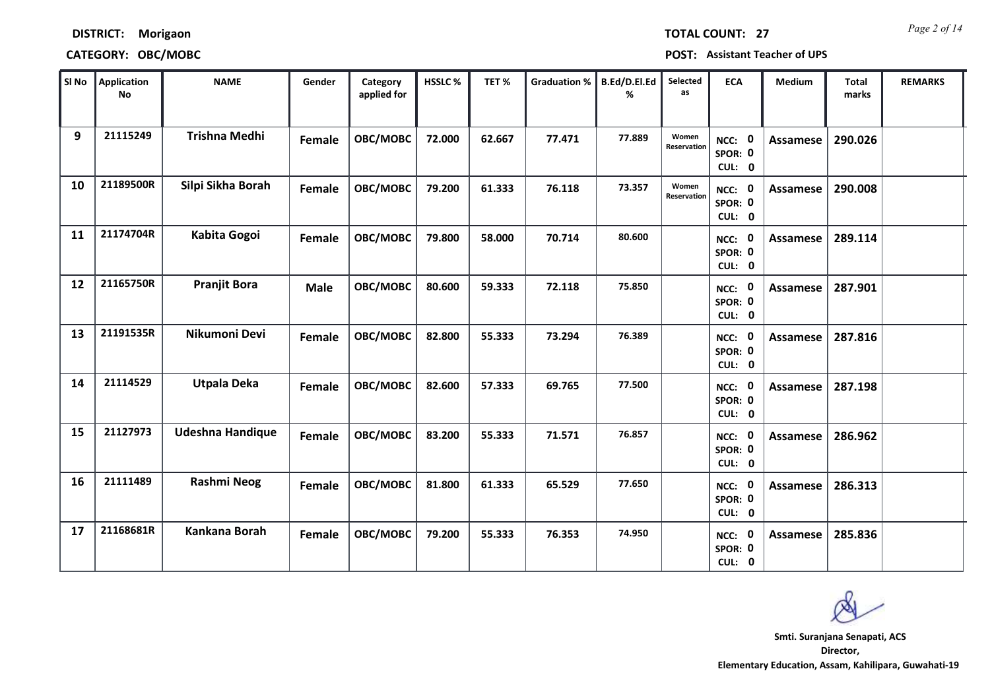## **CATEGORY: OBC/MOBC POST: Assistant Teacher of UPS**

| SI No | Application<br><b>No</b> | <b>NAME</b>             | Gender        | Category<br>applied for | <b>HSSLC%</b> | TET%   | <b>Graduation %</b> | B.Ed/D.El.Ed<br>% | Selected<br>as       | <b>ECA</b>                               | Medium          | <b>Total</b><br>marks | <b>REMARKS</b> |
|-------|--------------------------|-------------------------|---------------|-------------------------|---------------|--------|---------------------|-------------------|----------------------|------------------------------------------|-----------------|-----------------------|----------------|
| 9     | 21115249                 | <b>Trishna Medhi</b>    | Female        | OBC/MOBC                | 72.000        | 62.667 | 77.471              | 77.889            | Women<br>Reservation | NCC: 0<br>SPOR: 0<br>CUL: 0              | Assamese        | 290.026               |                |
| 10    | 21189500R                | Silpi Sikha Borah       | Female        | OBC/MOBC                | 79.200        | 61.333 | 76.118              | 73.357            | Women<br>Reservation | NCC: 0<br>SPOR: 0<br>CUL: 0              | Assamese        | 290.008               |                |
| 11    | 21174704R                | Kabita Gogoi            | Female        | OBC/MOBC                | 79.800        | 58.000 | 70.714              | 80.600            |                      | NCC: 0<br>SPOR: 0<br>CUL: 0              | Assamese        | 289.114               |                |
| 12    | 21165750R                | <b>Pranjit Bora</b>     | <b>Male</b>   | OBC/MOBC                | 80.600        | 59.333 | 72.118              | 75.850            |                      | $\mathbf 0$<br>NCC:<br>SPOR: 0<br>CUL: 0 | Assamese        | 287.901               |                |
| 13    | 21191535R                | Nikumoni Devi           | Female        | OBC/MOBC                | 82.800        | 55.333 | 73.294              | 76.389            |                      | $\mathbf 0$<br>NCC:<br>SPOR: 0<br>CUL: 0 | <b>Assamese</b> | 287.816               |                |
| 14    | 21114529                 | <b>Utpala Deka</b>      | <b>Female</b> | OBC/MOBC                | 82.600        | 57.333 | 69.765              | 77.500            |                      | NCC: 0<br>SPOR: 0<br>CUL: 0              | Assamese        | 287.198               |                |
| 15    | 21127973                 | <b>Udeshna Handique</b> | Female        | OBC/MOBC                | 83.200        | 55.333 | 71.571              | 76.857            |                      | NCC: 0<br>SPOR: 0<br>CUL: 0              | Assamese        | 286.962               |                |
| 16    | 21111489                 | Rashmi Neog             | Female        | OBC/MOBC                | 81.800        | 61.333 | 65.529              | 77.650            |                      | $\mathbf 0$<br>NCC:<br>SPOR: 0<br>CUL: 0 | Assamese        | 286.313               |                |
| 17    | 21168681R                | Kankana Borah           | <b>Female</b> | OBC/MOBC                | 79.200        | 55.333 | 76.353              | 74.950            |                      | 0<br>NCC:<br>SPOR: 0<br>CUL: 0           | Assamese        | 285.836               |                |

*Page 2 of 14* **TOTAL COUNT: 27**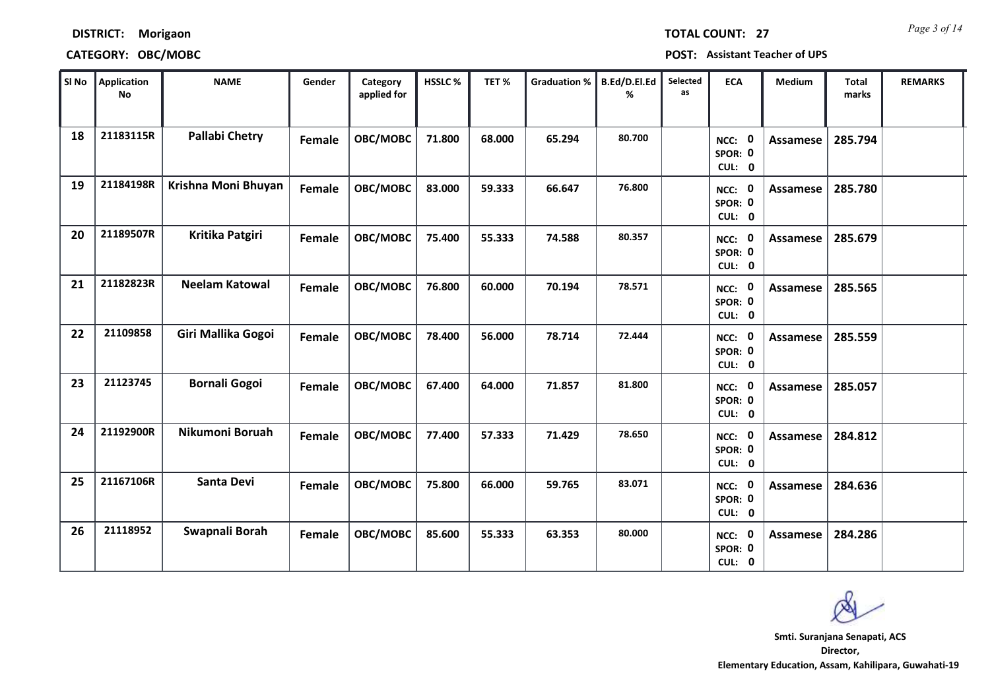| <b>DISTRICT:</b> | <b>Morigaon</b> |
|------------------|-----------------|
|------------------|-----------------|

## **CATEGORY: OBC/MOBC POST: Assistant Teacher of UPS**

| SI No | Application<br><b>No</b> | <b>NAME</b>           | Gender        | Category<br>applied for | HSSLC% | TET%   | <b>Graduation %</b> | B.Ed/D.El.Ed<br>% | Selected<br>as | <b>ECA</b>                         | <b>Medium</b>   | <b>Total</b><br>marks | <b>REMARKS</b> |
|-------|--------------------------|-----------------------|---------------|-------------------------|--------|--------|---------------------|-------------------|----------------|------------------------------------|-----------------|-----------------------|----------------|
| 18    | 21183115R                | <b>Pallabi Chetry</b> | Female        | OBC/MOBC                | 71.800 | 68.000 | 65.294              | 80.700            |                | NCC: 0<br>SPOR: 0<br>CUL: 0        | Assamese        | 285.794               |                |
| 19    | 21184198R                | Krishna Moni Bhuyan   | Female        | OBC/MOBC                | 83.000 | 59.333 | 66.647              | 76.800            |                | NCC: 0<br>SPOR: 0<br>CUL: 0        | Assamese        | 285.780               |                |
| 20    | 21189507R                | Kritika Patgiri       | Female        | OBC/MOBC                | 75.400 | 55.333 | 74.588              | 80.357            |                | NCC: 0<br>SPOR: 0<br>CUL: 0        | Assamese        | 285.679               |                |
| 21    | 21182823R                | <b>Neelam Katowal</b> | Female        | OBC/MOBC                | 76.800 | 60.000 | 70.194              | 78.571            |                | NCC: 0<br>SPOR: 0<br>CUL: 0        | <b>Assamese</b> | 285.565               |                |
| 22    | 21109858                 | Giri Mallika Gogoi    | <b>Female</b> | OBC/MOBC                | 78.400 | 56.000 | 78.714              | 72.444            |                | NCC: 0<br>SPOR: 0<br>CUL: 0        | <b>Assamese</b> | 285.559               |                |
| 23    | 21123745                 | <b>Bornali Gogoi</b>  | Female        | OBC/MOBC                | 67.400 | 64.000 | 71.857              | 81.800            |                | NCC: 0<br>SPOR: 0<br>CUL: 0        | <b>Assamese</b> | 285.057               |                |
| 24    | 21192900R                | Nikumoni Boruah       | Female        | OBC/MOBC                | 77.400 | 57.333 | 71.429              | 78.650            |                | NCC: 0<br>SPOR: 0<br>CUL: 0        | <b>Assamese</b> | 284.812               |                |
| 25    | 21167106R                | Santa Devi            | Female        | OBC/MOBC                | 75.800 | 66.000 | 59.765              | 83.071            |                | <b>NCC: 0</b><br>SPOR: 0<br>CUL: 0 | <b>Assamese</b> | 284.636               |                |
| 26    | 21118952                 | Swapnali Borah        | Female        | OBC/MOBC                | 85.600 | 55.333 | 63.353              | 80.000            |                | 0<br>NCC:<br>SPOR: 0<br>CUL: 0     | <b>Assamese</b> | 284.286               |                |

*Page 3 of 14* **TOTAL COUNT: 27**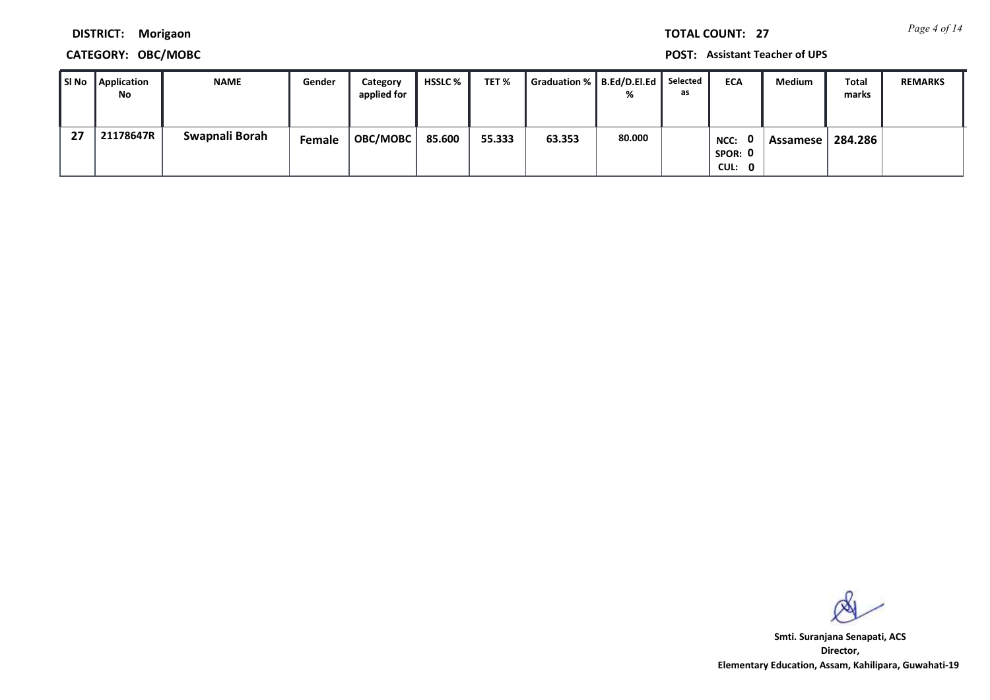*Page 4 of 14* **TOTAL COUNT: 27**

**DISTRICT: Morigaon**

## **CATEGORY: OBC/MOBC POST: Assistant Teacher of UPS**

| l SI No | <b>Application</b><br>No | <b>NAME</b>    | Gender | Category<br>applied for | <b>HSSLC</b> % | TET %  | Graduation %   B.Ed/D.El.Ed | ℅      | Selected<br>as | <b>ECA</b>                                | <b>Medium</b> | <b>Total</b><br>marks | <b>REMARKS</b> |
|---------|--------------------------|----------------|--------|-------------------------|----------------|--------|-----------------------------|--------|----------------|-------------------------------------------|---------------|-----------------------|----------------|
| 27      | 21178647R                | Swapnali Borah | Female | OBC/MOBC                | 85.600         | 55.333 | 63.353                      | 80.000 |                | $\mathbf{0}$<br>NCC:<br>SPOR: 0<br>CUL: 0 | Assamese l    | 284.286               |                |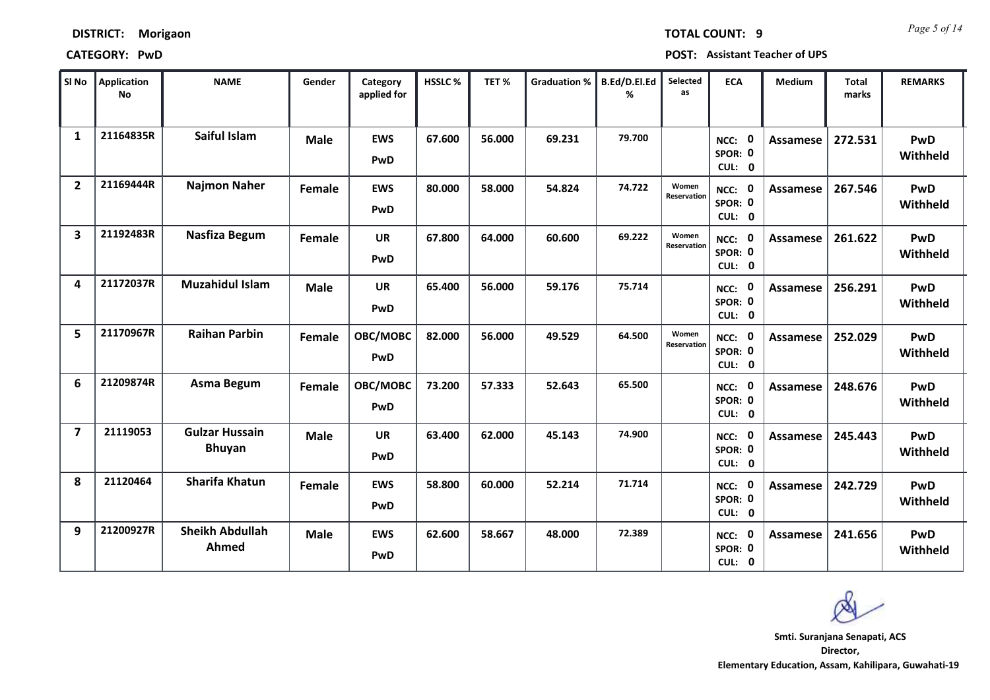| SI No          | <b>Application</b><br><b>No</b> | <b>NAME</b>                            | Gender      | Category<br>applied for | HSSLC% | TET%   | <b>Graduation %</b> | B.Ed/D.El.Ed<br>℅ | Selected<br>as       | <b>ECA</b>                                | <b>Medium</b>   | <b>Total</b><br>marks | <b>REMARKS</b>         |
|----------------|---------------------------------|----------------------------------------|-------------|-------------------------|--------|--------|---------------------|-------------------|----------------------|-------------------------------------------|-----------------|-----------------------|------------------------|
| $\mathbf{1}$   | 21164835R                       | Saiful Islam                           | <b>Male</b> | <b>EWS</b><br>PwD       | 67.600 | 56.000 | 69.231              | 79.700            |                      | $\mathbf 0$<br>NCC:<br>SPOR: 0<br>CUL: 0  | <b>Assamese</b> | 272.531               | <b>PwD</b><br>Withheld |
| $\overline{2}$ | 21169444R                       | <b>Najmon Naher</b>                    | Female      | <b>EWS</b><br>PwD       | 80.000 | 58.000 | 54.824              | 74.722            | Women<br>Reservation | $\mathbf 0$<br>NCC:<br>SPOR: 0<br>CUL: 0  | Assamese        | 267.546               | PwD<br>Withheld        |
| 3              | 21192483R                       | Nasfiza Begum                          | Female      | <b>UR</b><br>PwD        | 67.800 | 64.000 | 60.600              | 69.222            | Women<br>Reservation | $\mathbf{0}$<br>NCC:<br>SPOR: 0<br>CUL: 0 | <b>Assamese</b> | 261.622               | PwD<br>Withheld        |
| 4              | 21172037R                       | <b>Muzahidul Islam</b>                 | <b>Male</b> | <b>UR</b><br>PwD        | 65.400 | 56.000 | 59.176              | 75.714            |                      | $\mathbf 0$<br>NCC:<br>SPOR: 0<br>CUL: 0  | <b>Assamese</b> | 256.291               | PwD<br>Withheld        |
| 5              | 21170967R                       | <b>Raihan Parbin</b>                   | Female      | OBC/MOBC<br>PwD         | 82.000 | 56.000 | 49.529              | 64.500            | Women<br>Reservation | NCC: 0<br>SPOR: 0<br>CUL: 0               | Assamese        | 252.029               | PwD<br>Withheld        |
| 6              | 21209874R                       | <b>Asma Begum</b>                      | Female      | OBC/MOBC<br>PwD         | 73.200 | 57.333 | 52.643              | 65.500            |                      | $\mathbf 0$<br>NCC:<br>SPOR: 0<br>CUL: 0  | <b>Assamese</b> | 248.676               | PwD<br>Withheld        |
| $\overline{7}$ | 21119053                        | <b>Gulzar Hussain</b><br><b>Bhuyan</b> | <b>Male</b> | <b>UR</b><br>PwD        | 63.400 | 62.000 | 45.143              | 74.900            |                      | $\mathbf 0$<br>NCC:<br>SPOR: 0<br>CUL: 0  | Assamese        | 245.443               | PwD<br>Withheld        |
| 8              | 21120464                        | <b>Sharifa Khatun</b>                  | Female      | <b>EWS</b><br>PwD       | 58.800 | 60.000 | 52.214              | 71.714            |                      | <b>NCC: 0</b><br>SPOR: 0<br>CUL: 0        | <b>Assamese</b> | 242.729               | PwD<br>Withheld        |
| 9              | 21200927R                       | <b>Sheikh Abdullah</b><br>Ahmed        | <b>Male</b> | <b>EWS</b><br>PwD       | 62.600 | 58.667 | 48.000              | 72.389            |                      | 0<br>NCC:<br>SPOR: 0<br>CUL: 0            | <b>Assamese</b> | 241.656               | PwD<br>Withheld        |

**CATEGORY: PwD POST: Assistant Teacher of UPS**

**DISTRICT: Morigaon**

*Page 5 of 14* **TOTAL COUNT: 9**

- 11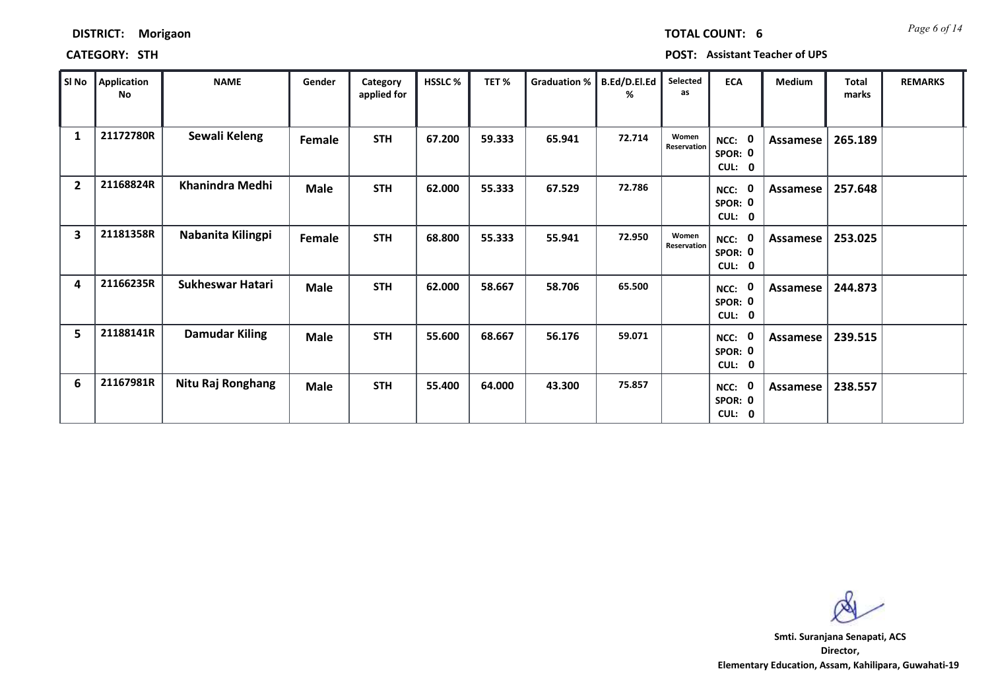| Sl No          | Application<br>No | <b>NAME</b>             | Gender      | Category<br>applied for | HSSLC% | TET%   | Graduation % | B.Ed/D.El.Ed<br>% | Selected<br>as       | <b>ECA</b>                                     | <b>Medium</b> | Total<br>marks | <b>REMARKS</b> |
|----------------|-------------------|-------------------------|-------------|-------------------------|--------|--------|--------------|-------------------|----------------------|------------------------------------------------|---------------|----------------|----------------|
| 1              | 21172780R         | Sewali Keleng           | Female      | <b>STH</b>              | 67.200 | 59.333 | 65.941       | 72.714            | Women<br>Reservation | - 0<br>NCC:<br>SPOR: 0<br>CUL: 0               | Assamese      | 265.189        |                |
| $\overline{2}$ | 21168824R         | Khanindra Medhi         | <b>Male</b> | <b>STH</b>              | 62.000 | 55.333 | 67.529       | 72.786            |                      | - 0<br>NCC:<br>SPOR: 0<br>CUL: 0               | Assamese      | 257.648        |                |
| 3              | 21181358R         | Nabanita Kilingpi       | Female      | <b>STH</b>              | 68.800 | 55.333 | 55.941       | 72.950            | Women<br>Reservation | NCC: 0<br>SPOR: 0<br>CUL: 0                    | Assamese      | 253.025        |                |
| 4              | 21166235R         | <b>Sukheswar Hatari</b> | <b>Male</b> | <b>STH</b>              | 62.000 | 58.667 | 58.706       | 65.500            |                      | - 0<br>NCC:<br>SPOR: 0<br>CUL: 0               | Assamese      | 244.873        |                |
| 5              | 21188141R         | <b>Damudar Kiling</b>   | <b>Male</b> | <b>STH</b>              | 55.600 | 68.667 | 56.176       | 59.071            |                      | - 0<br>NCC:<br>SPOR: 0<br>CUL:<br>$\mathbf{0}$ | Assamese      | 239.515        |                |
| 6              | 21167981R         | Nitu Raj Ronghang       | <b>Male</b> | <b>STH</b>              | 55.400 | 64.000 | 43.300       | 75.857            |                      | - 0<br>NCC:<br>SPOR: 0<br>CUL: 0               | Assamese      | 238.557        |                |

**Director, Elementary Education, Assam, Kahilipara, Guwahati-19 Smti. Suranjana Senapati, ACS**

*Page 6 of 14* **TOTAL COUNT: 6**

## **DISTRICT: Morigaon**

## **CATEGORY: STH POST: Assistant Teacher of UPS**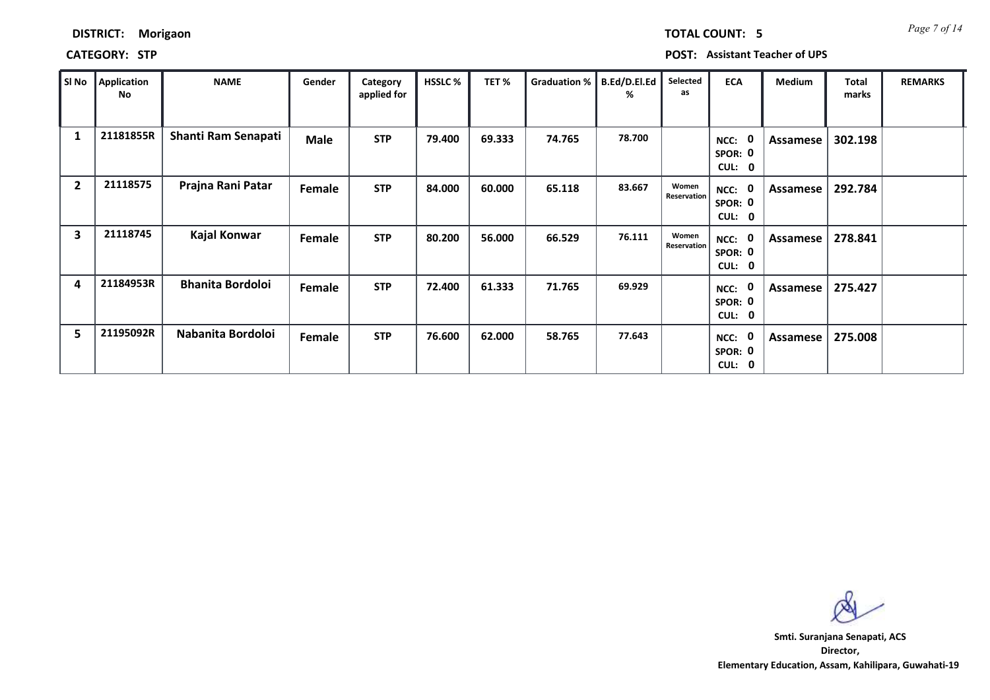## **CATEGORY: STP POST: Assistant Teacher of UPS**

| SI No          | Application<br>No | <b>NAME</b>             | Gender        | Category<br>applied for | <b>HSSLC %</b> | TET %  | <b>Graduation %</b> | B.Ed/D.El.Ed<br>% | Selected<br>as       | <b>ECA</b>                                      | <b>Medium</b> | <b>Total</b><br>marks | <b>REMARKS</b> |
|----------------|-------------------|-------------------------|---------------|-------------------------|----------------|--------|---------------------|-------------------|----------------------|-------------------------------------------------|---------------|-----------------------|----------------|
| 1              | 21181855R         | Shanti Ram Senapati     | <b>Male</b>   | <b>STP</b>              | 79.400         | 69.333 | 74.765              | 78.700            |                      | $\mathbf{0}$<br>NCC:<br>SPOR: 0<br>CUL: 0       | Assamese      | 302.198               |                |
| $\overline{2}$ | 21118575          | Prajna Rani Patar       | Female        | <b>STP</b>              | 84.000         | 60.000 | 65.118              | 83.667            | Women<br>Reservation | 0<br>NCC:<br>SPOR: 0<br>CUL: 0                  | Assamese      | 292.784               |                |
| 3              | 21118745          | Kajal Konwar            | <b>Female</b> | <b>STP</b>              | 80.200         | 56.000 | 66.529              | 76.111            | Women<br>Reservation | NCC: 0<br>SPOR: 0<br><b>CUL:</b><br>$\mathbf 0$ | Assamese      | 278.841               |                |
| 4              | 21184953R         | <b>Bhanita Bordoloi</b> | Female        | <b>STP</b>              | 72.400         | 61.333 | 71.765              | 69.929            |                      | 0<br>NCC:<br>SPOR: 0<br>CUL: 0                  | Assamese      | 275.427               |                |
| 5              | 21195092R         | Nabanita Bordoloi       | Female        | <b>STP</b>              | 76.600         | 62.000 | 58.765              | 77.643            |                      | 0<br>NCC:<br>SPOR: 0<br>CUL: 0                  | Assamese      | 275.008               |                |

**Director, Elementary Education, Assam, Kahilipara, Guwahati-19 Smti. Suranjana Senapati, ACS**

*Page 7 of 14* **TOTAL COUNT: 5**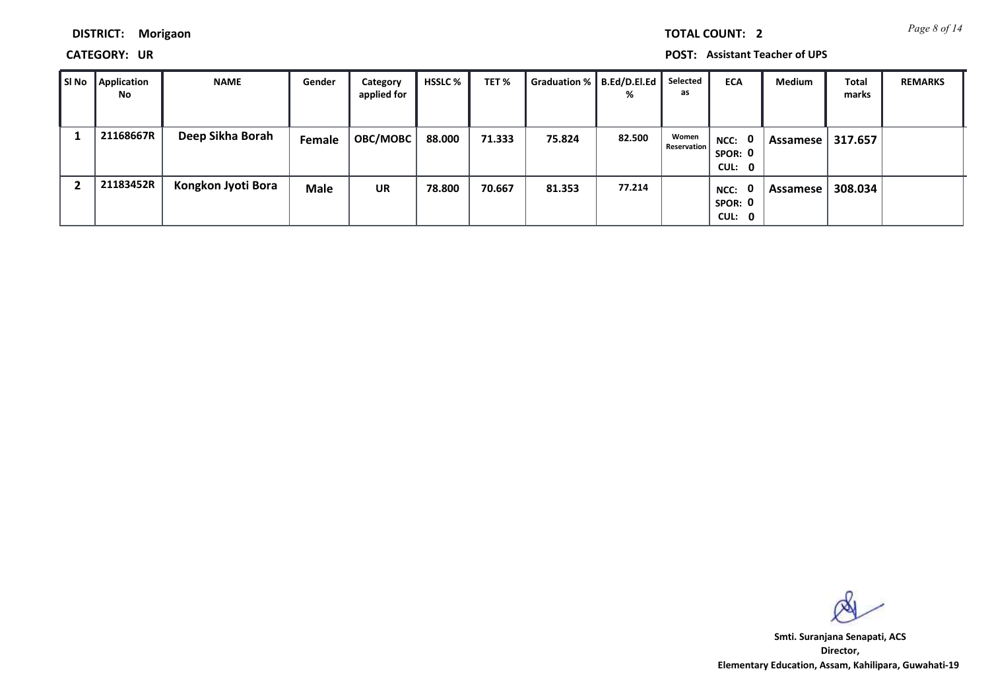*Page 8 of 14* **TOTAL COUNT: 2**

**DISTRICT: Morigaon**

**CATEGORY: UR POST: Assistant Teacher of UPS**

| ∥ SI No | Application<br><b>No</b> | <b>NAME</b>        | Gender      | Category<br>applied for | HSSLC % | TET %  | Graduation %   B.Ed/D.El.Ed | ℅      | Selected<br>as              | <b>ECA</b>                     | Medium   | <b>Total</b><br>marks | <b>REMARKS</b> |
|---------|--------------------------|--------------------|-------------|-------------------------|---------|--------|-----------------------------|--------|-----------------------------|--------------------------------|----------|-----------------------|----------------|
|         | 21168667R                | Deep Sikha Borah   | Female      | <b>OBC/MOBC</b>         | 88.000  | 71.333 | 75.824                      | 82.500 | Women<br><b>Reservation</b> | NCC: 0<br>SPOR: 0<br>CUL: 0    | Assamese | 317.657               |                |
|         | 21183452R                | Kongkon Jyoti Bora | <b>Male</b> | <b>UR</b>               | 78.800  | 70.667 | 81.353                      | 77.214 |                             | 0<br>NCC:<br>SPOR: 0<br>CUL: 0 | Assamese | 308.034               |                |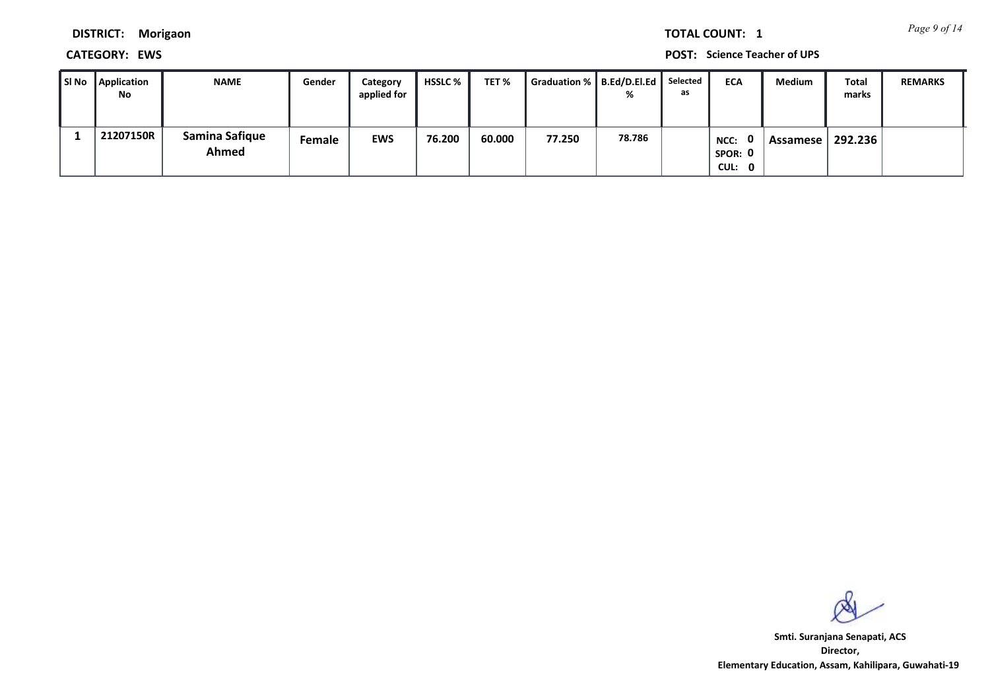*Page 9 of 14* **TOTAL COUNT: 1**

**DISTRICT: Morigaon**

**CATEGORY: EWS POST: Science Teacher of UPS**

| SI No Application<br>No | <b>NAME</b>             | Gender | Category<br>applied for | <b>HSSLC</b> % | TET %  | Graduation %   B.Ed/D.El.Ed | %      | Selected<br>as | <b>ECA</b>                     | <b>Medium</b> | Total<br>marks | <b>REMARKS</b> |
|-------------------------|-------------------------|--------|-------------------------|----------------|--------|-----------------------------|--------|----------------|--------------------------------|---------------|----------------|----------------|
| 21207150R               | Samina Safique<br>Ahmed | Female | <b>EWS</b>              | 76.200         | 60.000 | 77.250                      | 78.786 |                | 0<br>NCC:<br>SPOR: 0<br>CUL: 0 | Assamese      | 292.236        |                |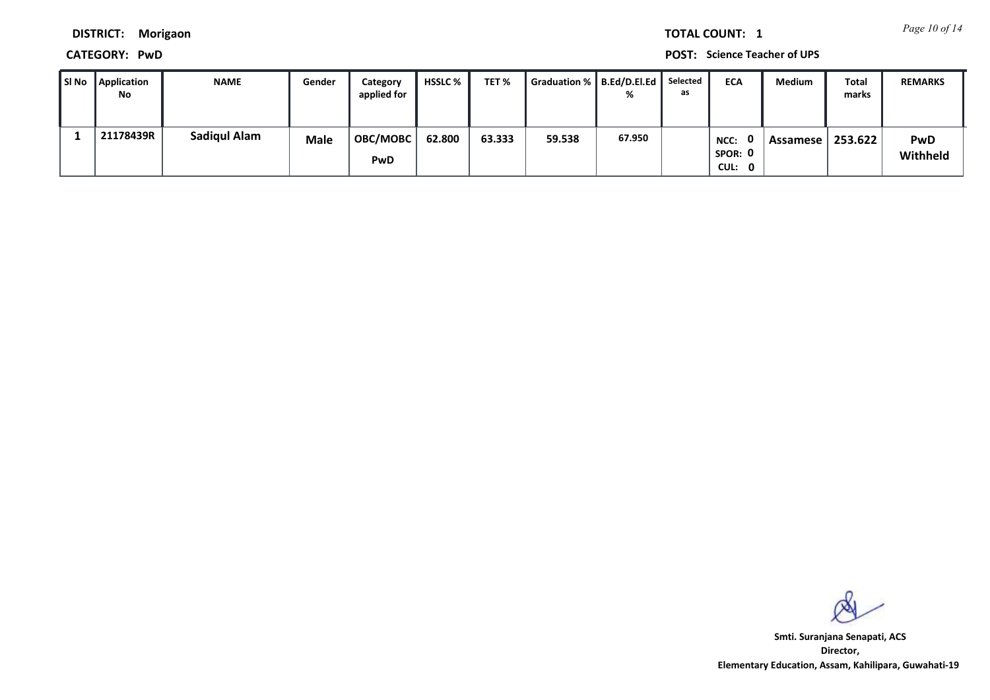*Page 10 of 14* **TOTAL COUNT: 1**

**DISTRICT: Morigaon**

**CATEGORY: PwD POST: Science Teacher of UPS**

| SI No | Application<br>No | <b>NAME</b>         | Gender      | Category<br>applied for | <b>HSSLC</b> % | TET %  | Graduation %   B.Ed/D.El.Ed |        | Selected<br>as | <b>ECA</b>                | Medium   | Total<br>marks | <b>REMARKS</b>         |
|-------|-------------------|---------------------|-------------|-------------------------|----------------|--------|-----------------------------|--------|----------------|---------------------------|----------|----------------|------------------------|
|       | 21178439R         | <b>Sadiqul Alam</b> | <b>Male</b> | <b>OBC/MOBC</b><br>PwD  | 62.800         | 63.333 | 59.538                      | 67.950 |                | NCC:<br>SPOR: 0<br>CUL: 0 | Assamese | 253.622        | <b>PwD</b><br>Withheld |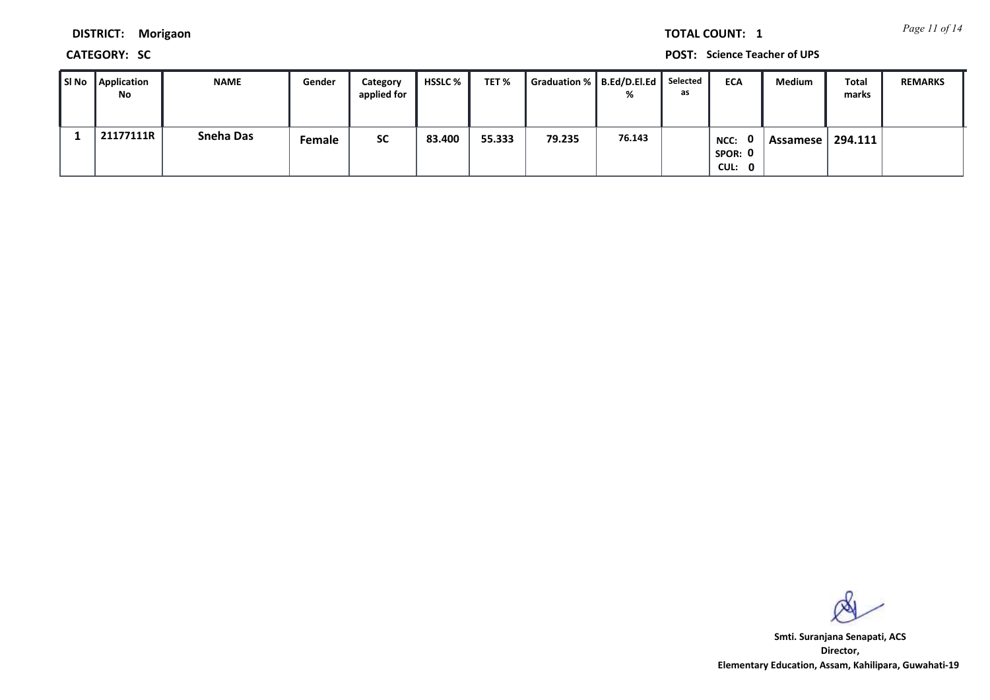*Page 11 of 14* **TOTAL COUNT: 1**

**DISTRICT: Morigaon**

**CATEGORY: SC POST: Science Teacher of UPS**

| SI No Application<br>No | <b>NAME</b>      | Gender | Category<br>applied for | HSSLC % | TET %  | Graduation %   B.Ed/D.El.Ed |        | Selected<br>as | <b>ECA</b>                | Medium   | Total<br>marks | <b>REMARKS</b> |
|-------------------------|------------------|--------|-------------------------|---------|--------|-----------------------------|--------|----------------|---------------------------|----------|----------------|----------------|
| 21177111R               | <b>Sneha Das</b> | Female | <b>SC</b>               | 83.400  | 55.333 | 79.235                      | 76.143 |                | NCC:<br>SPOR: 0<br>CUL: 0 | Assamese | 294.111        |                |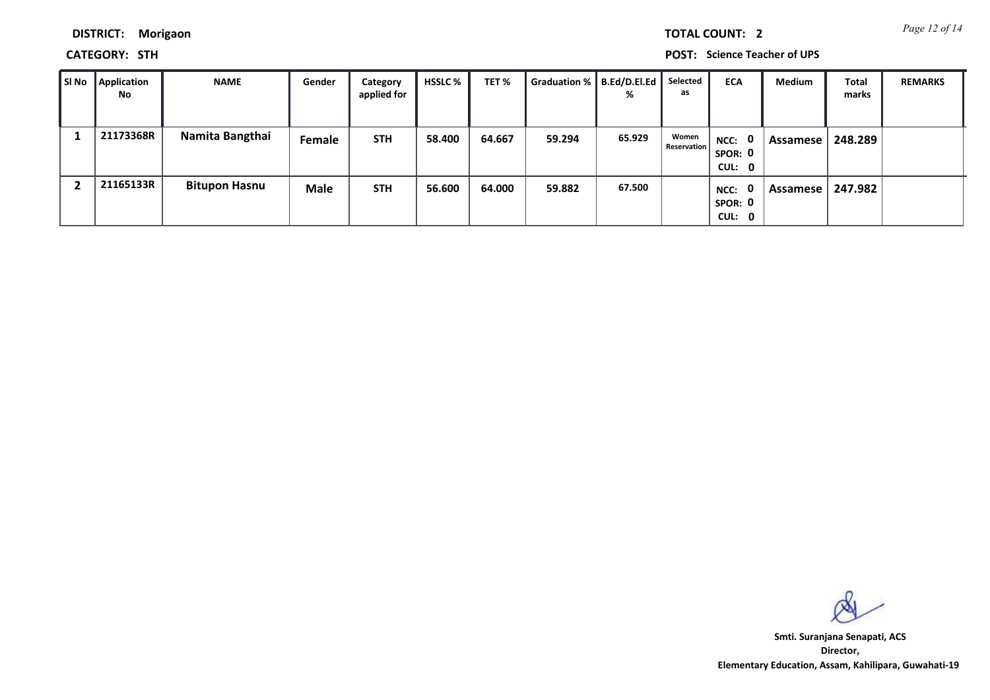*Page 12 of 14* **TOTAL COUNT: 2**

**DISTRICT: Morigaon**

**CATEGORY: STH POST: Science Teacher of UPS**

| SI No | Application<br>No | <b>NAME</b>          | Gender      | Category<br>applied for | <b>HSSLC</b> % | TET %  | <b>Graduation %</b> | B.Ed/D.El.Ed<br>% | Selected<br>as       | <b>ECA</b>                                | Medium   | <b>Total</b><br>marks | <b>REMARKS</b> |
|-------|-------------------|----------------------|-------------|-------------------------|----------------|--------|---------------------|-------------------|----------------------|-------------------------------------------|----------|-----------------------|----------------|
|       | 21173368R         | Namita Bangthai      | Female      | <b>STH</b>              | 58.400         | 64.667 | 59.294              | 65.929            | Women<br>Reservation | NCC: 0<br>SPOR: 0<br>CUL: 0               | Assamese | 248.289               |                |
|       | 21165133R         | <b>Bitupon Hasnu</b> | <b>Male</b> | <b>STH</b>              | 56.600         | 64.000 | 59.882              | 67.500            |                      | $\mathbf{0}$<br>NCC:<br>SPOR: 0<br>CUL: 0 | Assamese | 247.982               |                |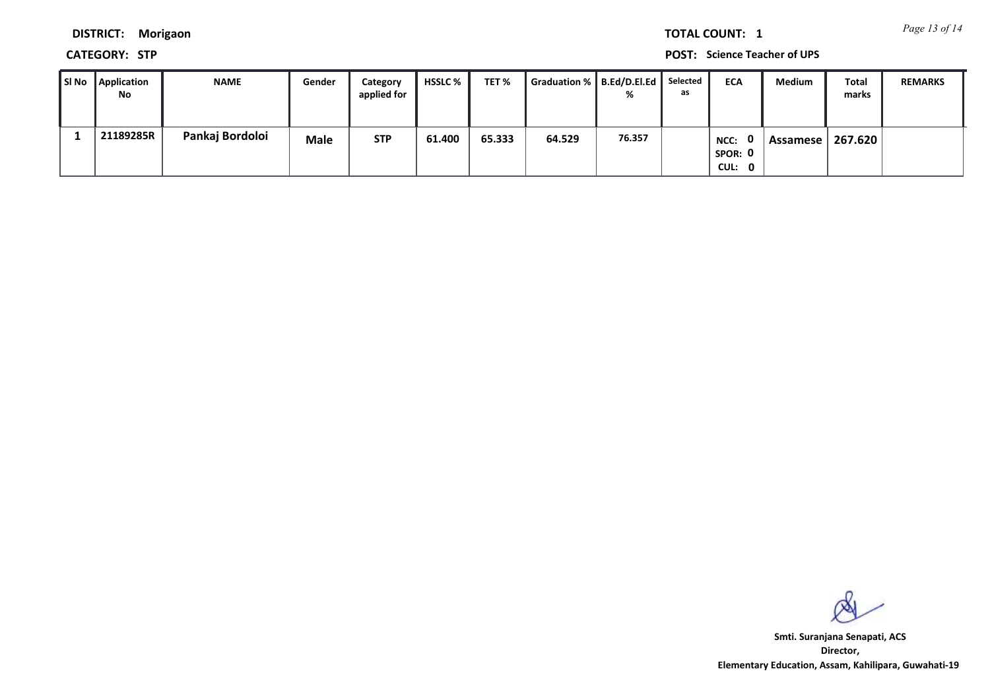*Page 13 of 14* **TOTAL COUNT: 1**

**DISTRICT: Morigaon**

**CATEGORY: STP POST: Science Teacher of UPS**

| SI No | Application<br>No | <b>NAME</b>     | Gender      | Category<br>applied for | HSSLC % | TET %  | Graduation %   B.Ed/D.El.Ed |        | Selected<br>as | <b>ECA</b>                | Medium   | <b>Total</b><br>marks | <b>REMARKS</b> |
|-------|-------------------|-----------------|-------------|-------------------------|---------|--------|-----------------------------|--------|----------------|---------------------------|----------|-----------------------|----------------|
|       | 21189285R         | Pankaj Bordoloi | <b>Male</b> | <b>STP</b>              | 61.400  | 65.333 | 64.529                      | 76.357 |                | NCC:<br>SPOR: 0<br>CUL: 0 | Assamese | 267.620               |                |